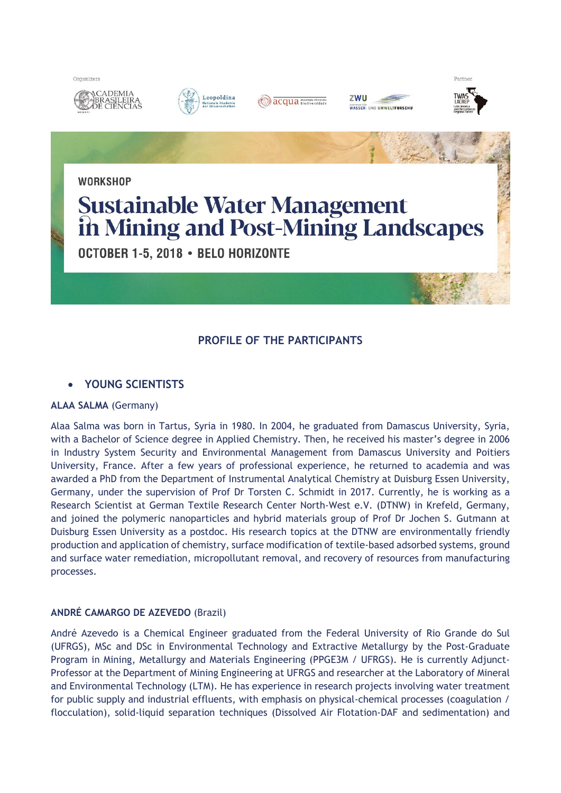











Partner

**WORKSHOP** 

# **Sustainable Water Management** in Mining and Post-Mining Landscapes

OCTOBER 1-5, 2018 . BELO HORIZONTE

# **PROFILE OF THE PARTICIPANTS**

## **YOUNG SCIENTISTS**

## **ALAA SALMA** (Germany)

Alaa Salma was born in Tartus, Syria in 1980. In 2004, he graduated from Damascus University, Syria, with a Bachelor of Science degree in Applied Chemistry. Then, he received his master's degree in 2006 in Industry System Security and Environmental Management from Damascus University and Poitiers University, France. After a few years of professional experience, he returned to academia and was awarded a PhD from the Department of Instrumental Analytical Chemistry at Duisburg Essen University, Germany, under the supervision of Prof Dr Torsten C. Schmidt in 2017. Currently, he is working as a Research Scientist at German Textile Research Center North-West e.V. (DTNW) in Krefeld, Germany, and joined the polymeric nanoparticles and hybrid materials group of Prof Dr Jochen S. Gutmann at Duisburg Essen University as a postdoc. His research topics at the DTNW are environmentally friendly production and application of chemistry, surface modification of textile-based adsorbed systems, ground and surface water remediation, micropollutant removal, and recovery of resources from manufacturing processes.

## **ANDRÉ CAMARGO DE AZEVEDO** (Brazil)

André Azevedo is a Chemical Engineer graduated from the Federal University of Rio Grande do Sul (UFRGS), MSc and DSc in Environmental Technology and Extractive Metallurgy by the Post-Graduate Program in Mining, Metallurgy and Materials Engineering (PPGE3M / UFRGS). He is currently Adjunct-Professor at the Department of Mining Engineering at UFRGS and researcher at the Laboratory of Mineral and Environmental Technology (LTM). He has experience in research projects involving water treatment for public supply and industrial effluents, with emphasis on physical-chemical processes (coagulation / flocculation), solid-liquid separation techniques (Dissolved Air Flotation-DAF and sedimentation) and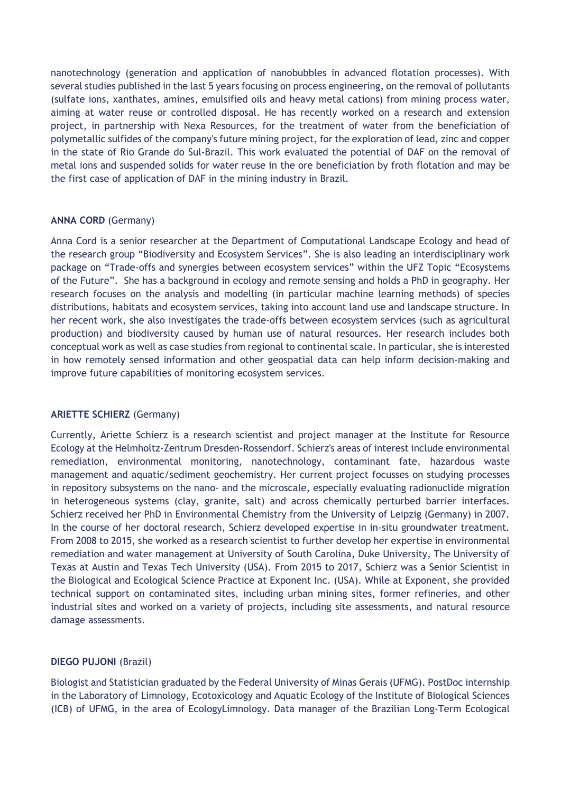nanotechnology (generation and application of nanobubbles in advanced flotation processes). With several studies published in the last 5 years focusing on process engineering, on the removal of pollutants (sulfate ions, xanthates, amines, emulsified oils and heavy metal cations) from mining process water, aiming at water reuse or controlled disposal. He has recently worked on a research and extension project, in partnership with Nexa Resources, for the treatment of water from the beneficiation of polymetallic sulfides of the company's future mining project, for the exploration of lead, zinc and copper in the state of Rio Grande do Sul-Brazil. This work evaluated the potential of DAF on the removal of metal ions and suspended solids for water reuse in the ore beneficiation by froth flotation and may be the first case of application of DAF in the mining industry in Brazil.

## **ANNA CORD** (Germany)

Anna Cord is a senior researcher at the Department of Computational Landscape Ecology and head of the research group "Biodiversity and Ecosystem Services". She is also leading an interdisciplinary work package on "Trade-offs and synergies between ecosystem services" within the UFZ Topic "Ecosystems of the Future". She has a background in ecology and remote sensing and holds a PhD in geography. Her research focuses on the analysis and modelling (in particular machine learning methods) of species distributions, habitats and ecosystem services, taking into account land use and landscape structure. In her recent work, she also investigates the trade-offs between ecosystem services (such as agricultural production) and biodiversity caused by human use of natural resources. Her research includes both conceptual work as well as case studies from regional to continental scale. In particular, she is interested in how remotely sensed information and other geospatial data can help inform decision-making and improve future capabilities of monitoring ecosystem services.

## **ARIETTE SCHIERZ** (Germany)

Currently, Ariette Schierz is a research scientist and project manager at the Institute for Resource Ecology at the Helmholtz-Zentrum Dresden-Rossendorf. Schierz's areas of interest include environmental remediation, environmental monitoring, nanotechnology, contaminant fate, hazardous waste management and aquatic/sediment geochemistry. Her current project focusses on studying processes in repository subsystems on the nano- and the microscale, especially evaluating radionuclide migration in heterogeneous systems (clay, granite, salt) and across chemically perturbed barrier interfaces. Schierz received her PhD in Environmental Chemistry from the University of Leipzig (Germany) in 2007. In the course of her doctoral research, Schierz developed expertise in in-situ groundwater treatment. From 2008 to 2015, she worked as a research scientist to further develop her expertise in environmental remediation and water management at University of South Carolina, Duke University, The University of Texas at Austin and Texas Tech University (USA). From 2015 to 2017, Schierz was a Senior Scientist in the Biological and Ecological Science Practice at Exponent Inc. (USA). While at Exponent, she provided technical support on contaminated sites, including urban mining sites, former refineries, and other industrial sites and worked on a variety of projects, including site assessments, and natural resource damage assessments.

## **DIEGO PUJONI** (Brazil)

Biologist and Statistician graduated by the Federal University of Minas Gerais (UFMG). PostDoc internship in the Laboratory of Limnology, Ecotoxicology and Aquatic Ecology of the Institute of Biological Sciences (ICB) of UFMG, in the area of EcologyLimnology. Data manager of the Brazilian Long-Term Ecological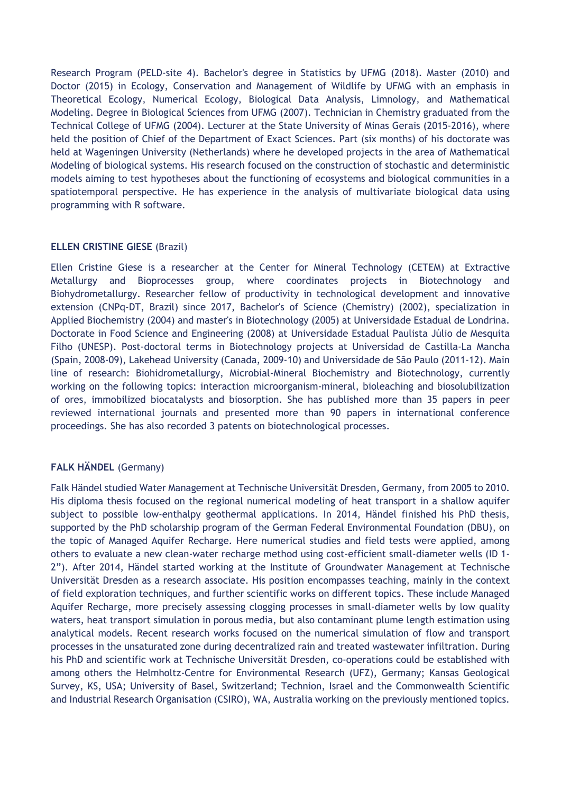Research Program (PELD-site 4). Bachelor's degree in Statistics by UFMG (2018). Master (2010) and Doctor (2015) in Ecology, Conservation and Management of Wildlife by UFMG with an emphasis in Theoretical Ecology, Numerical Ecology, Biological Data Analysis, Limnology, and Mathematical Modeling. Degree in Biological Sciences from UFMG (2007). Technician in Chemistry graduated from the Technical College of UFMG (2004). Lecturer at the State University of Minas Gerais (2015-2016), where held the position of Chief of the Department of Exact Sciences. Part (six months) of his doctorate was held at Wageningen University (Netherlands) where he developed projects in the area of Mathematical Modeling of biological systems. His research focused on the construction of stochastic and deterministic models aiming to test hypotheses about the functioning of ecosystems and biological communities in a spatiotemporal perspective. He has experience in the analysis of multivariate biological data using programming with R software.

## **ELLEN CRISTINE GIESE** (Brazil)

Ellen Cristine Giese is a researcher at the Center for Mineral Technology (CETEM) at Extractive Metallurgy and Bioprocesses group, where coordinates projects in Biotechnology and Biohydrometallurgy. Researcher fellow of productivity in technological development and innovative extension (CNPq-DT, Brazil) since 2017, Bachelor's of Science (Chemistry) (2002), specialization in Applied Biochemistry (2004) and master's in Biotechnology (2005) at Universidade Estadual de Londrina. Doctorate in Food Science and Engineering (2008) at Universidade Estadual Paulista Júlio de Mesquita Filho (UNESP). Post-doctoral terms in Biotechnology projects at Universidad de Castilla-La Mancha (Spain, 2008-09), Lakehead University (Canada, 2009-10) and Universidade de São Paulo (2011-12). Main line of research: Biohidrometallurgy, Microbial-Mineral Biochemistry and Biotechnology, currently working on the following topics: interaction microorganism-mineral, bioleaching and biosolubilization of ores, immobilized biocatalysts and biosorption. She has published more than 35 papers in peer reviewed international journals and presented more than 90 papers in international conference proceedings. She has also recorded 3 patents on biotechnological processes.

## **FALK HÄNDEL** (Germany)

Falk Händel studied Water Management at Technische Universität Dresden, Germany, from 2005 to 2010. His diploma thesis focused on the regional numerical modeling of heat transport in a shallow aquifer subject to possible low-enthalpy geothermal applications. In 2014, Händel finished his PhD thesis, supported by the PhD scholarship program of the German Federal Environmental Foundation (DBU), on the topic of Managed Aquifer Recharge. Here numerical studies and field tests were applied, among others to evaluate a new clean-water recharge method using cost-efficient small-diameter wells (ID 1- 2"). After 2014, Händel started working at the Institute of Groundwater Management at Technische Universität Dresden as a research associate. His position encompasses teaching, mainly in the context of field exploration techniques, and further scientific works on different topics. These include Managed Aquifer Recharge, more precisely assessing clogging processes in small-diameter wells by low quality waters, heat transport simulation in porous media, but also contaminant plume length estimation using analytical models. Recent research works focused on the numerical simulation of flow and transport processes in the unsaturated zone during decentralized rain and treated wastewater infiltration. During his PhD and scientific work at Technische Universität Dresden, co-operations could be established with among others the Helmholtz-Centre for Environmental Research (UFZ), Germany; Kansas Geological Survey, KS, USA; University of Basel, Switzerland; Technion, Israel and the Commonwealth Scientific and Industrial Research Organisation (CSIRO), WA, Australia working on the previously mentioned topics.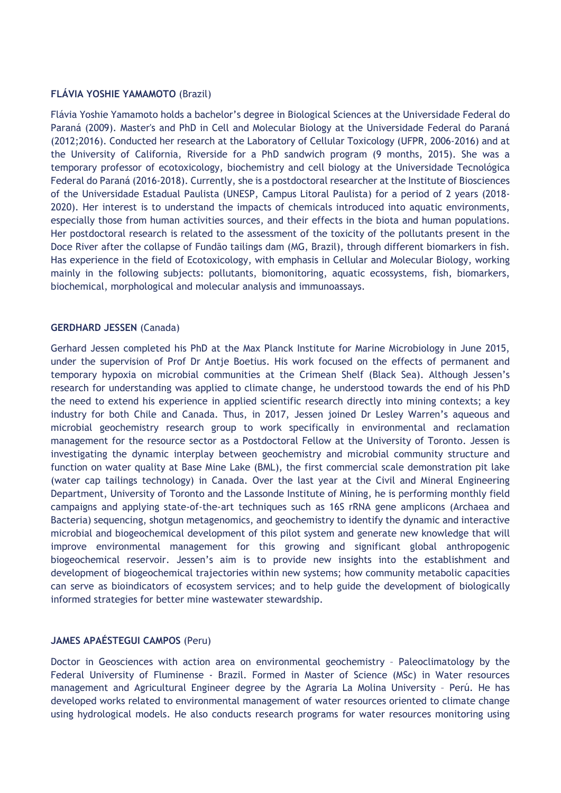## **FLÁVIA YOSHIE YAMAMOTO** (Brazil)

Flávia Yoshie Yamamoto holds a bachelor's degree in Biological Sciences at the Universidade Federal do Paraná (2009). Master's and PhD in Cell and Molecular Biology at the Universidade Federal do Paraná (2012;2016). Conducted her research at the Laboratory of Cellular Toxicology (UFPR, 2006-2016) and at the University of California, Riverside for a PhD sandwich program (9 months, 2015). She was a temporary professor of ecotoxicology, biochemistry and cell biology at the Universidade Tecnológica Federal do Paraná (2016-2018). Currently, she is a postdoctoral researcher at the Institute of Biosciences of the Universidade Estadual Paulista (UNESP, Campus Litoral Paulista) for a period of 2 years (2018- 2020). Her interest is to understand the impacts of chemicals introduced into aquatic environments, especially those from human activities sources, and their effects in the biota and human populations. Her postdoctoral research is related to the assessment of the toxicity of the pollutants present in the Doce River after the collapse of Fundão tailings dam (MG, Brazil), through different biomarkers in fish. Has experience in the field of Ecotoxicology, with emphasis in Cellular and Molecular Biology, working mainly in the following subjects: pollutants, biomonitoring, aquatic ecossystems, fish, biomarkers, biochemical, morphological and molecular analysis and immunoassays.

## **GERDHARD JESSEN** (Canada)

Gerhard Jessen completed his PhD at the Max Planck Institute for Marine Microbiology in June 2015, under the supervision of Prof Dr Antje Boetius. His work focused on the effects of permanent and temporary hypoxia on microbial communities at the Crimean Shelf (Black Sea). Although Jessen's research for understanding was applied to climate change, he understood towards the end of his PhD the need to extend his experience in applied scientific research directly into mining contexts; a key industry for both Chile and Canada. Thus, in 2017, Jessen joined Dr Lesley Warren's aqueous and microbial geochemistry research group to work specifically in environmental and reclamation management for the resource sector as a Postdoctoral Fellow at the University of Toronto. Jessen is investigating the dynamic interplay between geochemistry and microbial community structure and function on water quality at Base Mine Lake (BML), the first commercial scale demonstration pit lake (water cap tailings technology) in Canada. Over the last year at the Civil and Mineral Engineering Department, University of Toronto and the Lassonde Institute of Mining, he is performing monthly field campaigns and applying state-of-the-art techniques such as 16S rRNA gene amplicons (Archaea and Bacteria) sequencing, shotgun metagenomics, and geochemistry to identify the dynamic and interactive microbial and biogeochemical development of this pilot system and generate new knowledge that will improve environmental management for this growing and significant global anthropogenic biogeochemical reservoir. Jessen's aim is to provide new insights into the establishment and development of biogeochemical trajectories within new systems; how community metabolic capacities can serve as bioindicators of ecosystem services; and to help guide the development of biologically informed strategies for better mine wastewater stewardship.

## **JAMES APAÉSTEGUI CAMPOS** (Peru)

Doctor in Geosciences with action area on environmental geochemistry – Paleoclimatology by the Federal University of Fluminense - Brazil. Formed in Master of Science (MSc) in Water resources management and Agricultural Engineer degree by the Agraria La Molina University – Perú. He has developed works related to environmental management of water resources oriented to climate change using hydrological models. He also conducts research programs for water resources monitoring using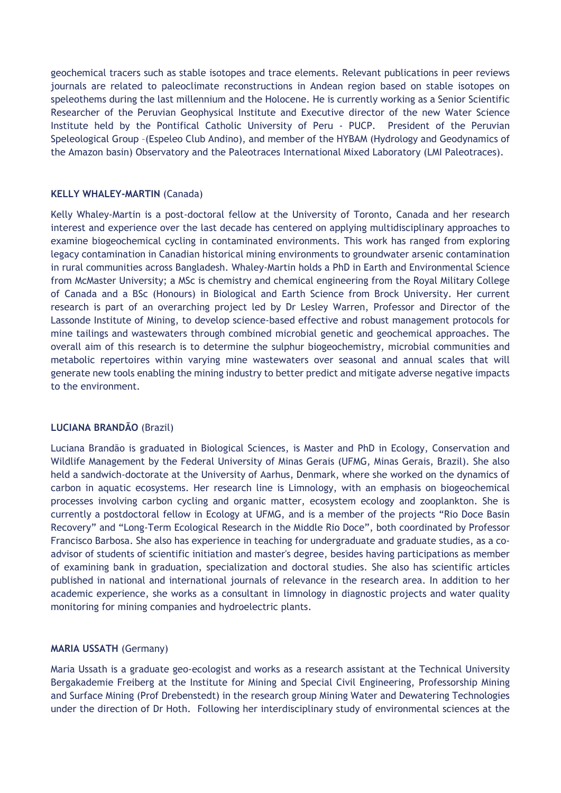geochemical tracers such as stable isotopes and trace elements. Relevant publications in peer reviews journals are related to paleoclimate reconstructions in Andean region based on stable isotopes on speleothems during the last millennium and the Holocene. He is currently working as a Senior Scientific Researcher of the Peruvian Geophysical Institute and Executive director of the new Water Science Institute held by the Pontifical Catholic University of Peru - PUCP. President of the Peruvian Speleological Group –(Espeleo Club Andino), and member of the HYBAM (Hydrology and Geodynamics of the Amazon basin) Observatory and the Paleotraces International Mixed Laboratory (LMI Paleotraces).

## **KELLY WHALEY-MARTIN** (Canada)

Kelly Whaley-Martin is a post-doctoral fellow at the University of Toronto, Canada and her research interest and experience over the last decade has centered on applying multidisciplinary approaches to examine biogeochemical cycling in contaminated environments. This work has ranged from exploring legacy contamination in Canadian historical mining environments to groundwater arsenic contamination in rural communities across Bangladesh. Whaley-Martin holds a PhD in Earth and Environmental Science from McMaster University; a MSc is chemistry and chemical engineering from the Royal Military College of Canada and a BSc (Honours) in Biological and Earth Science from Brock University. Her current research is part of an overarching project led by Dr Lesley Warren, Professor and Director of the Lassonde Institute of Mining, to develop science-based effective and robust management protocols for mine tailings and wastewaters through combined microbial genetic and geochemical approaches. The overall aim of this research is to determine the sulphur biogeochemistry, microbial communities and metabolic repertoires within varying mine wastewaters over seasonal and annual scales that will generate new tools enabling the mining industry to better predict and mitigate adverse negative impacts to the environment.

## **LUCIANA BRANDÃO** (Brazil)

Luciana Brandão is graduated in Biological Sciences, is Master and PhD in Ecology, Conservation and Wildlife Management by the Federal University of Minas Gerais (UFMG, Minas Gerais, Brazil). She also held a sandwich-doctorate at the University of Aarhus, Denmark, where she worked on the dynamics of carbon in aquatic ecosystems. Her research line is Limnology, with an emphasis on biogeochemical processes involving carbon cycling and organic matter, ecosystem ecology and zooplankton. She is currently a postdoctoral fellow in Ecology at UFMG, and is a member of the projects "Rio Doce Basin Recovery" and "Long-Term Ecological Research in the Middle Rio Doce", both coordinated by Professor Francisco Barbosa. She also has experience in teaching for undergraduate and graduate studies, as a coadvisor of students of scientific initiation and master's degree, besides having participations as member of examining bank in graduation, specialization and doctoral studies. She also has scientific articles published in national and international journals of relevance in the research area. In addition to her academic experience, she works as a consultant in limnology in diagnostic projects and water quality monitoring for mining companies and hydroelectric plants.

## **MARIA USSATH** (Germany)

Maria Ussath is a graduate geo-ecologist and works as a research assistant at the Technical University Bergakademie Freiberg at the Institute for Mining and Special Civil Engineering, Professorship Mining and Surface Mining (Prof Drebenstedt) in the research group Mining Water and Dewatering Technologies under the direction of Dr Hoth. Following her interdisciplinary study of environmental sciences at the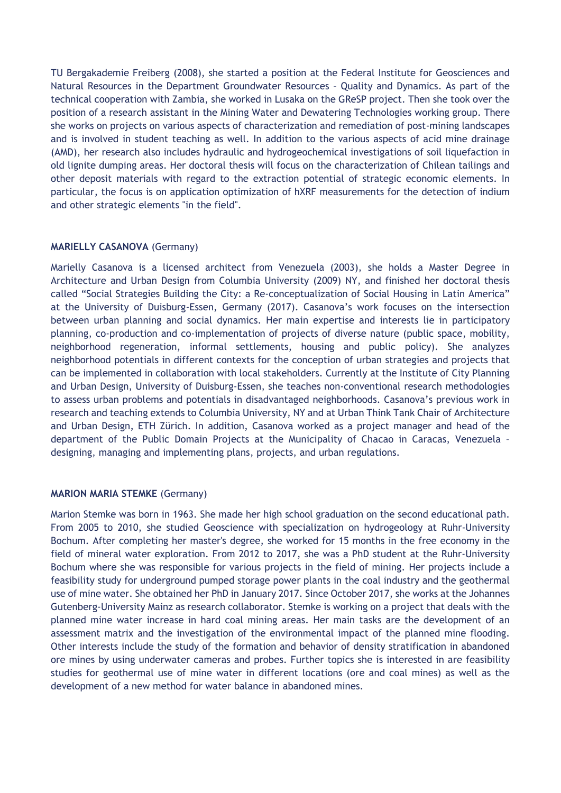TU Bergakademie Freiberg (2008), she started a position at the Federal Institute for Geosciences and Natural Resources in the Department Groundwater Resources – Quality and Dynamics. As part of the technical cooperation with Zambia, she worked in Lusaka on the GReSP project. Then she took over the position of a research assistant in the Mining Water and Dewatering Technologies working group. There she works on projects on various aspects of characterization and remediation of post-mining landscapes and is involved in student teaching as well. In addition to the various aspects of acid mine drainage (AMD), her research also includes hydraulic and hydrogeochemical investigations of soil liquefaction in old lignite dumping areas. Her doctoral thesis will focus on the characterization of Chilean tailings and other deposit materials with regard to the extraction potential of strategic economic elements. In particular, the focus is on application optimization of hXRF measurements for the detection of indium and other strategic elements "in the field".

## **MARIELLY CASANOVA** (Germany)

Marielly Casanova is a licensed architect from Venezuela (2003), she holds a Master Degree in Architecture and Urban Design from Columbia University (2009) NY, and finished her doctoral thesis called "Social Strategies Building the City: a Re-conceptualization of Social Housing in Latin America" at the University of Duisburg-Essen, Germany (2017). Casanova's work focuses on the intersection between urban planning and social dynamics. Her main expertise and interests lie in participatory planning, co-production and co-implementation of projects of diverse nature (public space, mobility, neighborhood regeneration, informal settlements, housing and public policy). She analyzes neighborhood potentials in different contexts for the conception of urban strategies and projects that can be implemented in collaboration with local stakeholders. Currently at the Institute of City Planning and Urban Design, University of Duisburg-Essen, she teaches non-conventional research methodologies to assess urban problems and potentials in disadvantaged neighborhoods. Casanova's previous work in research and teaching extends to Columbia University, NY and at Urban Think Tank Chair of Architecture and Urban Design, ETH Zürich. In addition, Casanova worked as a project manager and head of the department of the Public Domain Projects at the Municipality of Chacao in Caracas, Venezuela – designing, managing and implementing plans, projects, and urban regulations.

## **MARION MARIA STEMKE** (Germany)

Marion Stemke was born in 1963. She made her high school graduation on the second educational path. From 2005 to 2010, she studied Geoscience with specialization on hydrogeology at Ruhr-University Bochum. After completing her master's degree, she worked for 15 months in the free economy in the field of mineral water exploration. From 2012 to 2017, she was a PhD student at the Ruhr-University Bochum where she was responsible for various projects in the field of mining. Her projects include a feasibility study for underground pumped storage power plants in the coal industry and the geothermal use of mine water. She obtained her PhD in January 2017. Since October 2017, she works at the Johannes Gutenberg-University Mainz as research collaborator. Stemke is working on a project that deals with the planned mine water increase in hard coal mining areas. Her main tasks are the development of an assessment matrix and the investigation of the environmental impact of the planned mine flooding. Other interests include the study of the formation and behavior of density stratification in abandoned ore mines by using underwater cameras and probes. Further topics she is interested in are feasibility studies for geothermal use of mine water in different locations (ore and coal mines) as well as the development of a new method for water balance in abandoned mines.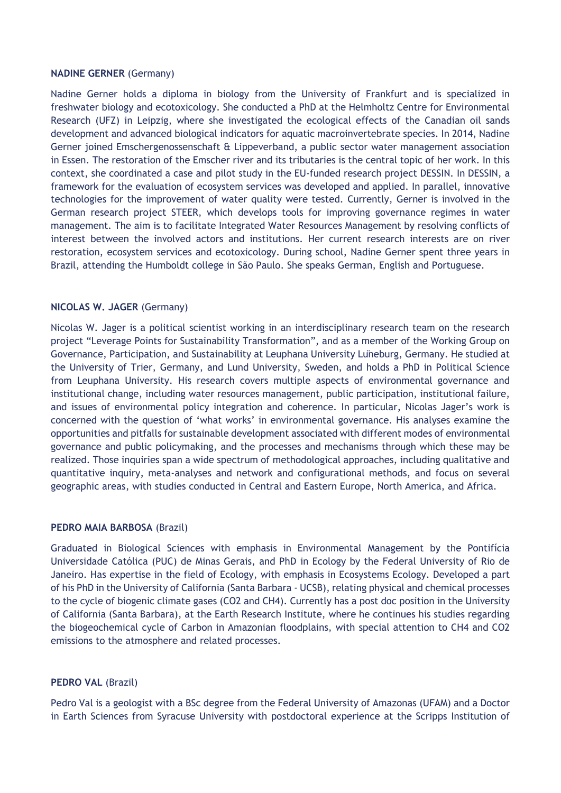#### **NADINE GERNER** (Germany)

Nadine Gerner holds a diploma in biology from the University of Frankfurt and is specialized in freshwater biology and ecotoxicology. She conducted a PhD at the Helmholtz Centre for Environmental Research (UFZ) in Leipzig, where she investigated the ecological effects of the Canadian oil sands development and advanced biological indicators for aquatic macroinvertebrate species. In 2014, Nadine Gerner joined Emschergenossenschaft & Lippeverband, a public sector water management association in Essen. The restoration of the Emscher river and its tributaries is the central topic of her work. In this context, she coordinated a case and pilot study in the EU-funded research project DESSIN. In DESSIN, a framework for the evaluation of ecosystem services was developed and applied. In parallel, innovative technologies for the improvement of water quality were tested. Currently, Gerner is involved in the German research project STEER, which develops tools for improving governance regimes in water management. The aim is to facilitate Integrated Water Resources Management by resolving conflicts of interest between the involved actors and institutions. Her current research interests are on river restoration, ecosystem services and ecotoxicology. During school, Nadine Gerner spent three years in Brazil, attending the Humboldt college in São Paulo. She speaks German, English and Portuguese.

## **NICOLAS W. JAGER** (Germany)

Nicolas W. Jager is a political scientist working in an interdisciplinary research team on the research project "Leverage Points for Sustainability Transformation", and as a member of the Working Group on Governance, Participation, and Sustainability at Leuphana University Lüneburg, Germany. He studied at the University of Trier, Germany, and Lund University, Sweden, and holds a PhD in Political Science from Leuphana University. His research covers multiple aspects of environmental governance and institutional change, including water resources management, public participation, institutional failure, and issues of environmental policy integration and coherence. In particular, Nicolas Jager's work is concerned with the question of 'what works' in environmental governance. His analyses examine the opportunities and pitfalls for sustainable development associated with different modes of environmental governance and public policymaking, and the processes and mechanisms through which these may be realized. Those inquiries span a wide spectrum of methodological approaches, including qualitative and quantitative inquiry, meta-analyses and network and configurational methods, and focus on several geographic areas, with studies conducted in Central and Eastern Europe, North America, and Africa.

## **PEDRO MAIA BARBOSA** (Brazil)

Graduated in Biological Sciences with emphasis in Environmental Management by the Pontifícia Universidade Católica (PUC) de Minas Gerais, and PhD in Ecology by the Federal University of Rio de Janeiro. Has expertise in the field of Ecology, with emphasis in Ecosystems Ecology. Developed a part of his PhD in the University of California (Santa Barbara - UCSB), relating physical and chemical processes to the cycle of biogenic climate gases (CO2 and CH4). Currently has a post doc position in the University of California (Santa Barbara), at the Earth Research Institute, where he continues his studies regarding the biogeochemical cycle of Carbon in Amazonian floodplains, with special attention to CH4 and CO2 emissions to the atmosphere and related processes.

## **PEDRO VAL** (Brazil)

Pedro Val is a geologist with a BSc degree from the Federal University of Amazonas (UFAM) and a Doctor in Earth Sciences from Syracuse University with postdoctoral experience at the Scripps Institution of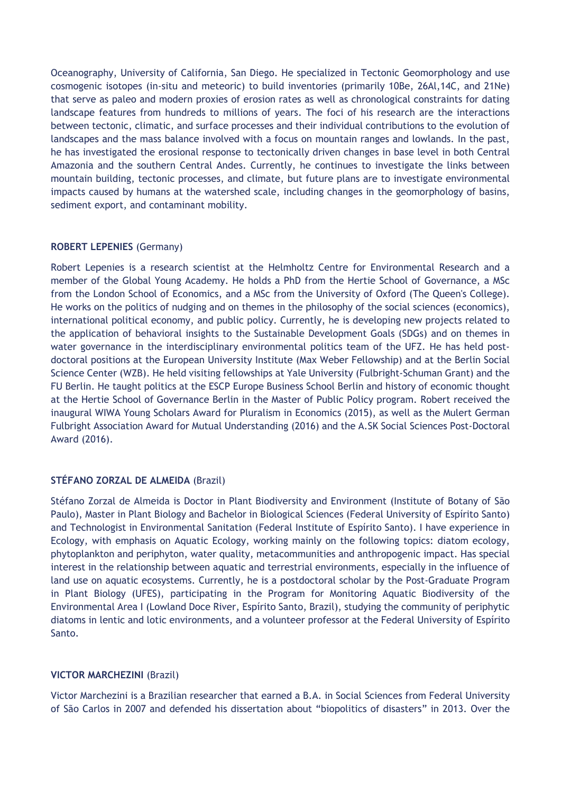Oceanography, University of California, San Diego. He specialized in Tectonic Geomorphology and use cosmogenic isotopes (in-situ and meteoric) to build inventories (primarily 10Be, 26Al,14C, and 21Ne) that serve as paleo and modern proxies of erosion rates as well as chronological constraints for dating landscape features from hundreds to millions of years. The foci of his research are the interactions between tectonic, climatic, and surface processes and their individual contributions to the evolution of landscapes and the mass balance involved with a focus on mountain ranges and lowlands. In the past, he has investigated the erosional response to tectonically driven changes in base level in both Central Amazonia and the southern Central Andes. Currently, he continues to investigate the links between mountain building, tectonic processes, and climate, but future plans are to investigate environmental impacts caused by humans at the watershed scale, including changes in the geomorphology of basins, sediment export, and contaminant mobility.

## **ROBERT LEPENIES** (Germany)

Robert Lepenies is a research scientist at the Helmholtz Centre for Environmental Research and a member of the Global Young Academy. He holds a PhD from the Hertie School of Governance, a MSc from the London School of Economics, and a MSc from the University of Oxford (The Queen's College). He works on the politics of nudging and on themes in the philosophy of the social sciences (economics), international political economy, and public policy. Currently, he is developing new projects related to the application of behavioral insights to the Sustainable Development Goals (SDGs) and on themes in water governance in the interdisciplinary environmental politics team of the UFZ. He has held postdoctoral positions at the European University Institute (Max Weber Fellowship) and at the Berlin Social Science Center (WZB). He held visiting fellowships at Yale University (Fulbright-Schuman Grant) and the FU Berlin. He taught politics at the ESCP Europe Business School Berlin and history of economic thought at the Hertie School of Governance Berlin in the Master of Public Policy program. Robert received the inaugural WIWA Young Scholars Award for Pluralism in Economics (2015), as well as the Mulert German Fulbright Association Award for Mutual Understanding (2016) and the A.SK Social Sciences Post-Doctoral Award (2016).

## **STÉFANO ZORZAL DE ALMEIDA** (Brazil)

Stéfano Zorzal de Almeida is Doctor in Plant Biodiversity and Environment (Institute of Botany of São Paulo), Master in Plant Biology and Bachelor in Biological Sciences (Federal University of Espírito Santo) and Technologist in Environmental Sanitation (Federal Institute of Espírito Santo). I have experience in Ecology, with emphasis on Aquatic Ecology, working mainly on the following topics: diatom ecology, phytoplankton and periphyton, water quality, metacommunities and anthropogenic impact. Has special interest in the relationship between aquatic and terrestrial environments, especially in the influence of land use on aquatic ecosystems. Currently, he is a postdoctoral scholar by the Post-Graduate Program in Plant Biology (UFES), participating in the Program for Monitoring Aquatic Biodiversity of the Environmental Area I (Lowland Doce River, Espírito Santo, Brazil), studying the community of periphytic diatoms in lentic and lotic environments, and a volunteer professor at the Federal University of Espírito Santo.

## **VICTOR MARCHEZINI** (Brazil)

Victor Marchezini is a Brazilian researcher that earned a B.A. in Social Sciences from Federal University of São Carlos in 2007 and defended his dissertation about "biopolitics of disasters" in 2013. Over the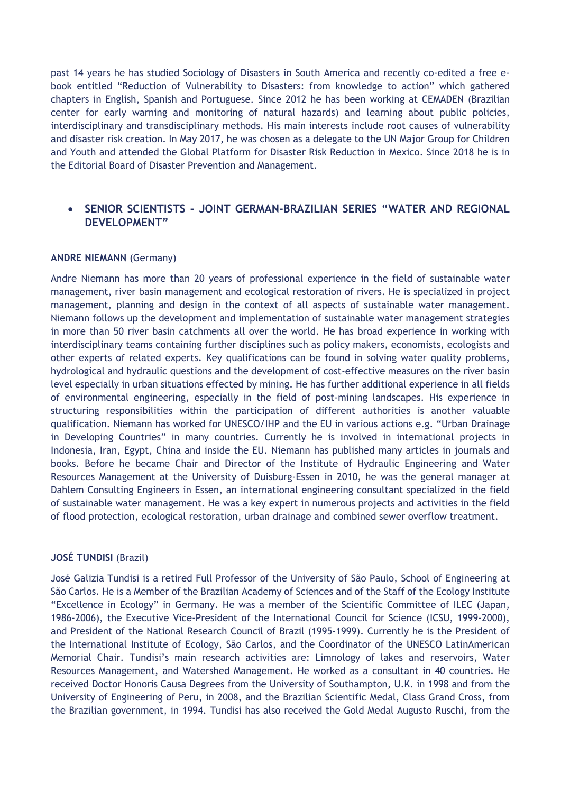past 14 years he has studied Sociology of Disasters in South America and recently co-edited a free ebook entitled "Reduction of Vulnerability to Disasters: from knowledge to action" which gathered chapters in English, Spanish and Portuguese. Since 2012 he has been working at CEMADEN (Brazilian center for early warning and monitoring of natural hazards) and learning about public policies, interdisciplinary and transdisciplinary methods. His main interests include root causes of vulnerability and disaster risk creation. In May 2017, he was chosen as a delegate to the UN Major Group for Children and Youth and attended the Global Platform for Disaster Risk Reduction in Mexico. Since 2018 he is in the Editorial Board of Disaster Prevention and Management.

## **SENIOR SCIENTISTS - JOINT GERMAN-BRAZILIAN SERIES "WATER AND REGIONAL DEVELOPMENT"**

#### **ANDRE NIEMANN** (Germany)

Andre Niemann has more than 20 years of professional experience in the field of sustainable water management, river basin management and ecological restoration of rivers. He is specialized in project management, planning and design in the context of all aspects of sustainable water management. Niemann follows up the development and implementation of sustainable water management strategies in more than 50 river basin catchments all over the world. He has broad experience in working with interdisciplinary teams containing further disciplines such as policy makers, economists, ecologists and other experts of related experts. Key qualifications can be found in solving water quality problems, hydrological and hydraulic questions and the development of cost-effective measures on the river basin level especially in urban situations effected by mining. He has further additional experience in all fields of environmental engineering, especially in the field of post-mining landscapes. His experience in structuring responsibilities within the participation of different authorities is another valuable qualification. Niemann has worked for UNESCO/IHP and the EU in various actions e.g. "Urban Drainage in Developing Countries" in many countries. Currently he is involved in international projects in Indonesia, Iran, Egypt, China and inside the EU. Niemann has published many articles in journals and books. Before he became Chair and Director of the Institute of Hydraulic Engineering and Water Resources Management at the University of Duisburg-Essen in 2010, he was the general manager at Dahlem Consulting Engineers in Essen, an international engineering consultant specialized in the field of sustainable water management. He was a key expert in numerous projects and activities in the field of flood protection, ecological restoration, urban drainage and combined sewer overflow treatment.

#### **JOSÉ TUNDISI** (Brazil)

José Galizia Tundisi is a retired Full Professor of the University of São Paulo, School of Engineering at São Carlos. He is a Member of the Brazilian Academy of Sciences and of the Staff of the Ecology Institute "Excellence in Ecology" in Germany. He was a member of the Scientific Committee of ILEC (Japan, 1986-2006), the Executive Vice-President of the International Council for Science (ICSU, 1999-2000), and President of the National Research Council of Brazil (1995-1999). Currently he is the President of the International Institute of Ecology, São Carlos, and the Coordinator of the UNESCO LatinAmerican Memorial Chair. Tundisi's main research activities are: Limnology of lakes and reservoirs, Water Resources Management, and Watershed Management. He worked as a consultant in 40 countries. He received Doctor Honoris Causa Degrees from the University of Southampton, U.K. in 1998 and from the University of Engineering of Peru, in 2008, and the Brazilian Scientific Medal, Class Grand Cross, from the Brazilian government, in 1994. Tundisi has also received the Gold Medal Augusto Ruschi, from the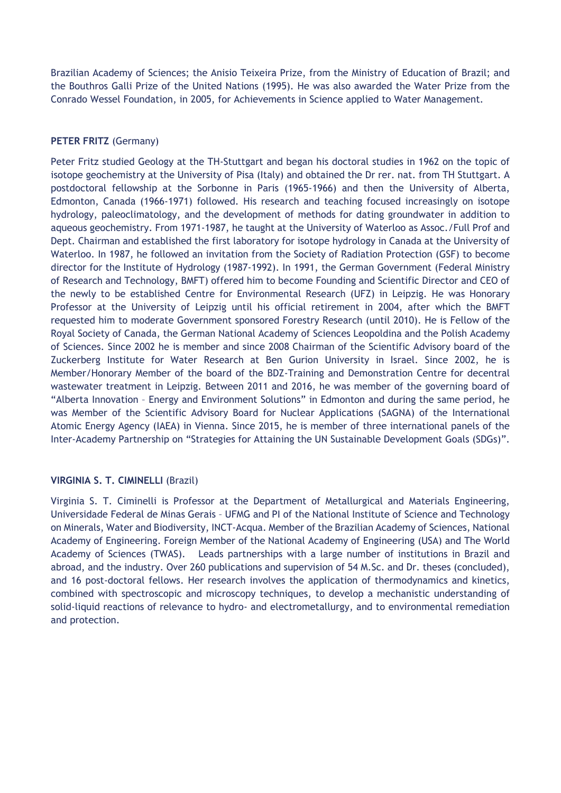Brazilian Academy of Sciences; the Anisio Teixeira Prize, from the Ministry of Education of Brazil; and the Bouthros Galli Prize of the United Nations (1995). He was also awarded the Water Prize from the Conrado Wessel Foundation, in 2005, for Achievements in Science applied to Water Management.

## **PETER FRITZ** (Germany)

Peter Fritz studied Geology at the TH-Stuttgart and began his doctoral studies in 1962 on the topic of isotope geochemistry at the University of Pisa (Italy) and obtained the Dr rer. nat. from TH Stuttgart. A postdoctoral fellowship at the Sorbonne in Paris (1965-1966) and then the University of Alberta, Edmonton, Canada (1966-1971) followed. His research and teaching focused increasingly on isotope hydrology, paleoclimatology, and the development of methods for dating groundwater in addition to aqueous geochemistry. From 1971-1987, he taught at the University of Waterloo as Assoc./Full Prof and Dept. Chairman and established the first laboratory for isotope hydrology in Canada at the University of Waterloo. In 1987, he followed an invitation from the Society of Radiation Protection (GSF) to become director for the Institute of Hydrology (1987-1992). In 1991, the German Government (Federal Ministry of Research and Technology, BMFT) offered him to become Founding and Scientific Director and CEO of the newly to be established Centre for Environmental Research (UFZ) in Leipzig. He was Honorary Professor at the University of Leipzig until his official retirement in 2004, after which the BMFT requested him to moderate Government sponsored Forestry Research (until 2010). He is Fellow of the Royal Society of Canada, the German National Academy of Sciences Leopoldina and the Polish Academy of Sciences. Since 2002 he is member and since 2008 Chairman of the Scientific Advisory board of the Zuckerberg Institute for Water Research at Ben Gurion University in Israel. Since 2002, he is Member/Honorary Member of the board of the BDZ-Training and Demonstration Centre for decentral wastewater treatment in Leipzig. Between 2011 and 2016, he was member of the governing board of "Alberta Innovation – Energy and Environment Solutions" in Edmonton and during the same period, he was Member of the Scientific Advisory Board for Nuclear Applications (SAGNA) of the International Atomic Energy Agency (IAEA) in Vienna. Since 2015, he is member of three international panels of the Inter-Academy Partnership on "Strategies for Attaining the UN Sustainable Development Goals (SDGs)".

## **VIRGINIA S. T. CIMINELLI** (Brazil)

Virginia S. T. Ciminelli is Professor at the Department of Metallurgical and Materials Engineering, Universidade Federal de Minas Gerais – UFMG and PI of the National Institute of Science and Technology on Minerals, Water and Biodiversity, INCT-Acqua. Member of the Brazilian Academy of Sciences, National Academy of Engineering. Foreign Member of the National Academy of Engineering (USA) and The World Academy of Sciences (TWAS). Leads partnerships with a large number of institutions in Brazil and abroad, and the industry. Over 260 publications and supervision of 54 M.Sc. and Dr. theses (concluded), and 16 post-doctoral fellows. Her research involves the application of thermodynamics and kinetics, combined with spectroscopic and microscopy techniques, to develop a mechanistic understanding of solid-liquid reactions of relevance to hydro- and electrometallurgy, and to environmental remediation and protection.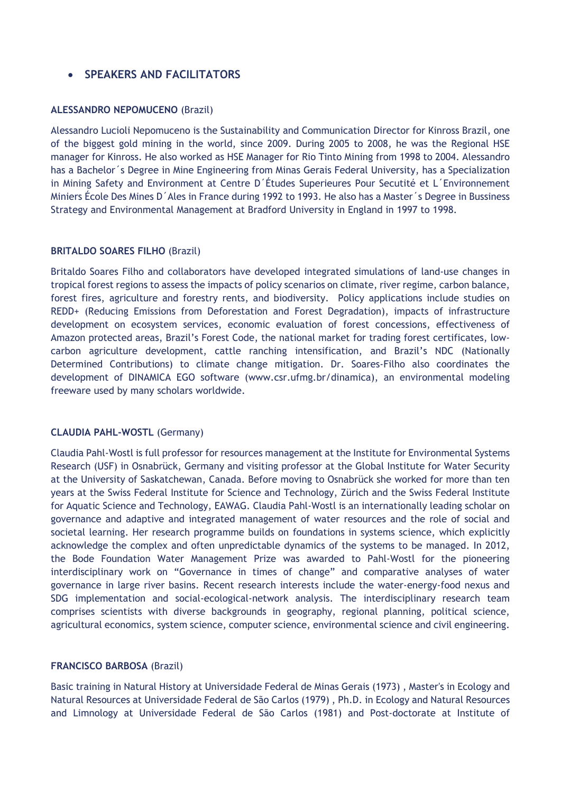## **SPEAKERS AND FACILITATORS**

#### **ALESSANDRO NEPOMUCENO** (Brazil)

Alessandro Lucioli Nepomuceno is the Sustainability and Communication Director for Kinross Brazil, one of the biggest gold mining in the world, since 2009. During 2005 to 2008, he was the Regional HSE manager for Kinross. He also worked as HSE Manager for Rio Tinto Mining from 1998 to 2004. Alessandro has a Bachelor´s Degree in Mine Engineering from Minas Gerais Federal University, has a Specialization in Mining Safety and Environment at Centre D´Études Superieures Pour Secutité et L´Environnement Miniers École Des Mines D´Ales in France during 1992 to 1993. He also has a Master´s Degree in Bussiness Strategy and Environmental Management at Bradford University in England in 1997 to 1998.

## **BRITALDO SOARES FILHO** (Brazil)

Britaldo Soares Filho and collaborators have developed integrated simulations of land-use changes in tropical forest regions to assess the impacts of policy scenarios on climate, river regime, carbon balance, forest fires, agriculture and forestry rents, and biodiversity. Policy applications include studies on REDD+ (Reducing Emissions from Deforestation and Forest Degradation), impacts of infrastructure development on ecosystem services, economic evaluation of forest concessions, effectiveness of Amazon protected areas, Brazil's Forest Code, the national market for trading forest certificates, lowcarbon agriculture development, cattle ranching intensification, and Brazil's NDC (Nationally Determined Contributions) to climate change mitigation. Dr. Soares-Filho also coordinates the development of DINAMICA EGO software (www.csr.ufmg.br/dinamica), an environmental modeling freeware used by many scholars worldwide.

## **CLAUDIA PAHL-WOSTL** (Germany)

Claudia Pahl-Wostl is full professor for resources management at the Institute for Environmental Systems Research (USF) in Osnabrück, Germany and visiting professor at the Global Institute for Water Security at the University of Saskatchewan, Canada. Before moving to Osnabrück she worked for more than ten years at the Swiss Federal Institute for Science and Technology, Zürich and the Swiss Federal Institute for Aquatic Science and Technology, EAWAG. Claudia Pahl-Wostl is an internationally leading scholar on governance and adaptive and integrated management of water resources and the role of social and societal learning. Her research programme builds on foundations in systems science, which explicitly acknowledge the complex and often unpredictable dynamics of the systems to be managed. In 2012, the Bode Foundation Water Management Prize was awarded to Pahl-Wostl for the pioneering interdisciplinary work on "Governance in times of change" and comparative analyses of water governance in large river basins. Recent research interests include the water-energy-food nexus and SDG implementation and social-ecological-network analysis. The interdisciplinary research team comprises scientists with diverse backgrounds in geography, regional planning, political science, agricultural economics, system science, computer science, environmental science and civil engineering.

## **FRANCISCO BARBOSA** (Brazil)

Basic training in Natural History at Universidade Federal de Minas Gerais (1973) , Master's in Ecology and Natural Resources at Universidade Federal de São Carlos (1979) , Ph.D. in Ecology and Natural Resources and Limnology at Universidade Federal de São Carlos (1981) and Post-doctorate at Institute of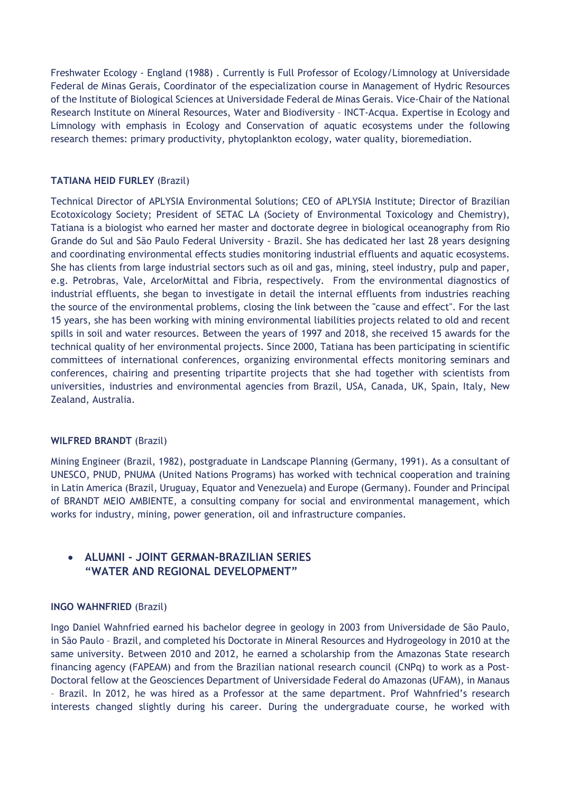Freshwater Ecology - England (1988) . Currently is Full Professor of Ecology/Limnology at Universidade Federal de Minas Gerais, Coordinator of the especialization course in Management of Hydric Resources of the Institute of Biological Sciences at Universidade Federal de Minas Gerais. Vice-Chair of the National Research Institute on Mineral Resources, Water and Biodiversity – INCT-Acqua. Expertise in Ecology and Limnology with emphasis in Ecology and Conservation of aquatic ecosystems under the following research themes: primary productivity, phytoplankton ecology, water quality, bioremediation.

## **TATIANA HEID FURLEY** (Brazil)

Technical Director of APLYSIA Environmental Solutions; CEO of APLYSIA Institute; Director of Brazilian Ecotoxicology Society; President of SETAC LA (Society of Environmental Toxicology and Chemistry), Tatiana is a biologist who earned her master and doctorate degree in biological oceanography from Rio Grande do Sul and São Paulo Federal University - Brazil. She has dedicated her last 28 years designing and coordinating environmental effects studies monitoring industrial effluents and aquatic ecosystems. She has clients from large industrial sectors such as oil and gas, mining, steel industry, pulp and paper, e.g. Petrobras, Vale, ArcelorMittal and Fibria, respectively. From the environmental diagnostics of industrial effluents, she began to investigate in detail the internal effluents from industries reaching the source of the environmental problems, closing the link between the "cause and effect". For the last 15 years, she has been working with mining environmental liabilities projects related to old and recent spills in soil and water resources. Between the years of 1997 and 2018, she received 15 awards for the technical quality of her environmental projects. Since 2000, Tatiana has been participating in scientific committees of international conferences, organizing environmental effects monitoring seminars and conferences, chairing and presenting tripartite projects that she had together with scientists from universities, industries and environmental agencies from Brazil, USA, Canada, UK, Spain, Italy, New Zealand, Australia.

## **WILFRED BRANDT** (Brazil)

Mining Engineer (Brazil, 1982), postgraduate in Landscape Planning (Germany, 1991). As a consultant of UNESCO, PNUD, PNUMA (United Nations Programs) has worked with technical cooperation and training in Latin America (Brazil, Uruguay, Equator and Venezuela) and Europe (Germany). Founder and Principal of BRANDT MEIO AMBIENTE, a consulting company for social and environmental management, which works for industry, mining, power generation, oil and infrastructure companies.

## **ALUMNI - JOINT GERMAN-BRAZILIAN SERIES "WATER AND REGIONAL DEVELOPMENT"**

## **INGO WAHNFRIED** (Brazil)

Ingo Daniel Wahnfried earned his bachelor degree in geology in 2003 from Universidade de São Paulo, in São Paulo – Brazil, and completed his Doctorate in Mineral Resources and Hydrogeology in 2010 at the same university. Between 2010 and 2012, he earned a scholarship from the Amazonas State research financing agency (FAPEAM) and from the Brazilian national research council (CNPq) to work as a Post-Doctoral fellow at the Geosciences Department of Universidade Federal do Amazonas (UFAM), in Manaus – Brazil. In 2012, he was hired as a Professor at the same department. Prof Wahnfried's research interests changed slightly during his career. During the undergraduate course, he worked with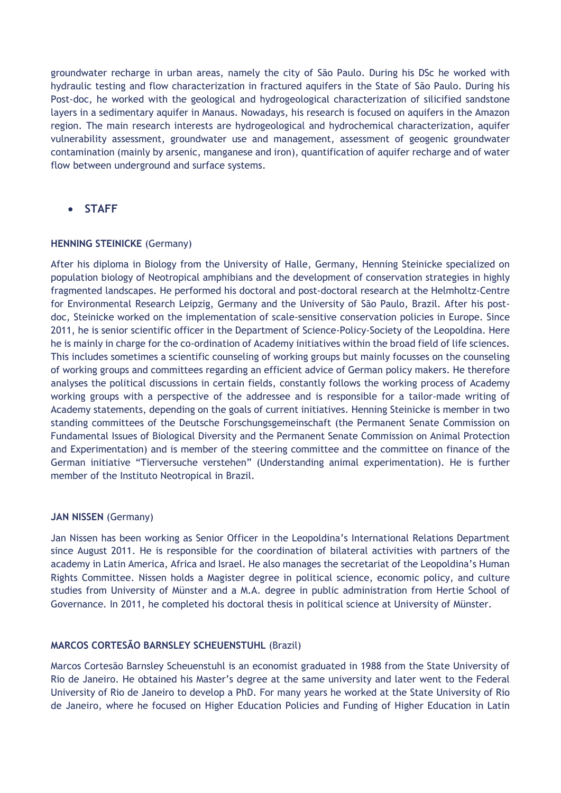groundwater recharge in urban areas, namely the city of São Paulo. During his DSc he worked with hydraulic testing and flow characterization in fractured aquifers in the State of São Paulo. During his Post-doc, he worked with the geological and hydrogeological characterization of silicified sandstone layers in a sedimentary aquifer in Manaus. Nowadays, his research is focused on aquifers in the Amazon region. The main research interests are hydrogeological and hydrochemical characterization, aquifer vulnerability assessment, groundwater use and management, assessment of geogenic groundwater contamination (mainly by arsenic, manganese and iron), quantification of aquifer recharge and of water flow between underground and surface systems.

**STAFF** 

## **HENNING STEINICKE** (Germany)

After his diploma in Biology from the University of Halle, Germany, Henning Steinicke specialized on population biology of Neotropical amphibians and the development of conservation strategies in highly fragmented landscapes. He performed his doctoral and post-doctoral research at the Helmholtz-Centre for Environmental Research Leipzig, Germany and the University of São Paulo, Brazil. After his postdoc, Steinicke worked on the implementation of scale-sensitive conservation policies in Europe. Since 2011, he is senior scientific officer in the Department of Science-Policy-Society of the Leopoldina. Here he is mainly in charge for the co-ordination of Academy initiatives within the broad field of life sciences. This includes sometimes a scientific counseling of working groups but mainly focusses on the counseling of working groups and committees regarding an efficient advice of German policy makers. He therefore analyses the political discussions in certain fields, constantly follows the working process of Academy working groups with a perspective of the addressee and is responsible for a tailor-made writing of Academy statements, depending on the goals of current initiatives. Henning Steinicke is member in two standing committees of the Deutsche Forschungsgemeinschaft (the Permanent Senate Commission on Fundamental Issues of Biological Diversity and the Permanent Senate Commission on Animal Protection and Experimentation) and is member of the steering committee and the committee on finance of the German initiative "Tierversuche verstehen" (Understanding animal experimentation). He is further member of the Instituto Neotropical in Brazil.

## **JAN NISSEN** (Germany)

Jan Nissen has been working as Senior Officer in the Leopoldina's International Relations Department since August 2011. He is responsible for the coordination of bilateral activities with partners of the academy in Latin America, Africa and Israel. He also manages the secretariat of the Leopoldina's Human Rights Committee. Nissen holds a Magister degree in political science, economic policy, and culture studies from University of Münster and a M.A. degree in public administration from Hertie School of Governance. In 2011, he completed his doctoral thesis in political science at University of Münster.

## **MARCOS CORTESÃO BARNSLEY SCHEUENSTUHL** (Brazil)

Marcos Cortesão Barnsley Scheuenstuhl is an economist graduated in 1988 from the State University of Rio de Janeiro. He obtained his Master's degree at the same university and later went to the Federal University of Rio de Janeiro to develop a PhD. For many years he worked at the State University of Rio de Janeiro, where he focused on Higher Education Policies and Funding of Higher Education in Latin